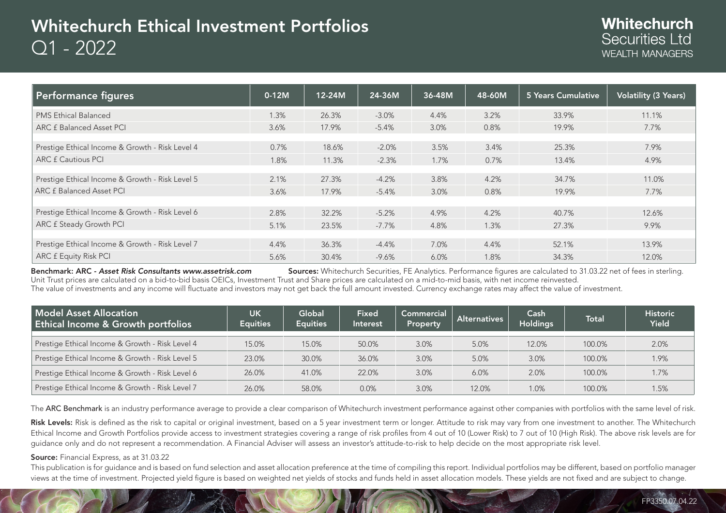# Whitechurch Ethical Investment Portfolios Q1 - 2022

| Performance figures                             | $0-12M$ | 12-24M | 24-36M   | 36-48M | 48-60M | 5 Years Cumulative | <b>Volatility (3 Years)</b> |
|-------------------------------------------------|---------|--------|----------|--------|--------|--------------------|-----------------------------|
| <b>PMS Ethical Balanced</b>                     | 1.3%    | 26.3%  | $-3.0%$  | 4.4%   | 3.2%   | 33.9%              | 11.1%                       |
| <b>ARC £ Balanced Asset PCI</b>                 | 3.6%    | 17.9%  | $-5.4%$  | 3.0%   | 0.8%   | 19.9%              | 7.7%                        |
|                                                 |         |        |          |        |        |                    |                             |
| Prestige Ethical Income & Growth - Risk Level 4 | 0.7%    | 18.6%  | $-2.0%$  | 3.5%   | 3.4%   | 25.3%              | 7.9%                        |
| <b>ARC £ Cautious PCI</b>                       | 1.8%    | 11.3%  | $-2.3%$  | 1.7%   | 0.7%   | 13.4%              | 4.9%                        |
|                                                 |         |        |          |        |        |                    |                             |
| Prestige Ethical Income & Growth - Risk Level 5 | 2.1%    | 27.3%  | $-4.2%$  | 3.8%   | 4.2%   | 34.7%              | 11.0%                       |
| ARC £ Balanced Asset PCI                        | 3.6%    | 17.9%  | $-5.4%$  | 3.0%   | 0.8%   | 19.9%              | 7.7%                        |
|                                                 |         |        |          |        |        |                    |                             |
| Prestige Ethical Income & Growth - Risk Level 6 | 2.8%    | 32.2%  | $-5.2%$  | 4.9%   | 4.2%   | 40.7%              | 12.6%                       |
| ARC £ Steady Growth PCI                         | 5.1%    | 23.5%  | $-7.7\%$ | 4.8%   | 1.3%   | 27.3%              | 9.9%                        |
|                                                 |         |        |          |        |        |                    |                             |
| Prestige Ethical Income & Growth - Risk Level 7 | 4.4%    | 36.3%  | $-4.4%$  | 7.0%   | 4.4%   | 52.1%              | 13.9%                       |
| <b>ARC £ Equity Risk PCI</b>                    | 5.6%    | 30.4%  | $-9.6%$  | 6.0%   | 1.8%   | 34.3%              | 12.0%                       |

Benchmark: ARC *- Asset Risk Consultants www.assetrisk.com* Sources: Whitechurch Securities. FE Analytics. Performance figures are calculated to 31.03.22 net of fees in sterling. Unit Trust prices are calculated on a bid-to-bid basis OEICs, Investment Trust and Share prices are calculated on a mid-to-mid basis, with net income reinvested. The value of investments and any income will fluctuate and investors may not get back the full amount invested. Currency exchange rates may affect the value of investment.

| Model Asset Allocation<br><b>Ethical Income &amp; Growth portfolios</b> | UK<br><b>Equities</b> | Global<br><b>Equities</b> | <b>Fixed</b><br>Interest | Commercial<br>Property | <b>Alternatives</b> | Cash<br><b>Holdings</b> | Total  | <b>Historic</b><br><b>Yield</b> |
|-------------------------------------------------------------------------|-----------------------|---------------------------|--------------------------|------------------------|---------------------|-------------------------|--------|---------------------------------|
| Prestige Ethical Income & Growth - Risk Level 4                         | 15.0%                 | 15.0%                     | 50.0%                    | 3.0%                   | 5.0%                | 12.0%                   | 100.0% | 2.0%                            |
| Prestige Ethical Income & Growth - Risk Level 5                         | 23.0%                 | 30.0%                     | 36.0%                    | 3.0%                   | 5.0%                | 3.0%                    | 100.0% | 1.9%                            |
| Prestige Ethical Income & Growth - Risk Level 6                         | 26.0%                 | 41.0%                     | 22.0%                    | 3.0%                   | 6.0%                | 2.0%                    | 100.0% | 1.7%                            |
| Prestige Ethical Income & Growth - Risk Level 7                         | 26.0%                 | 58.0%                     | 0.0%                     | 3.0%                   | 12.0%               | 1.0%                    | 100.0% | 1.5%                            |

The ARC Benchmark is an industry performance average to provide a clear comparison of Whitechurch investment performance against other companies with portfolios with the same level of risk.

Risk Levels: Risk is defined as the risk to capital or original investment, based on a 5 year investment term or longer. Attitude to risk may vary from one investment to another. The Whitechurch Ethical Income and Growth Portfolios provide access to investment strategies covering a range of risk profiles from 4 out of 10 (Lower Risk) to 7 out of 10 (High Risk). The above risk levels are for guidance only and do not represent a recommendation. A Financial Adviser will assess an investor's attitude-to-risk to help decide on the most appropriate risk level.

#### Source: Financial Express, as at 31.03.22

This publication is for guidance and is based on fund selection and asset allocation preference at the time of compiling this report. Individual portfolios may be different, based on portfolio manager views at the time of investment. Projected yield figure is based on weighted net yields of stocks and funds held in asset allocation models. These yields are not fixed and are subject to change.